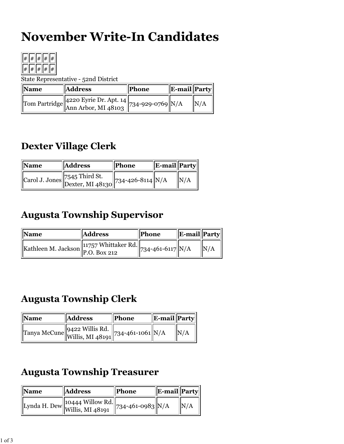# **November Write-In Candidates**



State Representative - 52nd District

| <b>Name</b> | <b>Address</b>                                                                                                                       | Phone | E-mail  Party |     |
|-------------|--------------------------------------------------------------------------------------------------------------------------------------|-------|---------------|-----|
|             | $\left\lVert \text{Tom Partridge} \right\rVert_{\text{Ann Arbor, MI 48103}} \left\lVert 734\text{-}929\text{-}0769 \right\rVert N/A$ |       |               | N/A |

### **Dexter Village Clerk**

| <b>Name</b> | <b>Address</b>                                                                                     | <b>Phone</b> | E-mail  Party |      |
|-------------|----------------------------------------------------------------------------------------------------|--------------|---------------|------|
|             | $\left\Vert \text{Carol J. Jones} \right\Vert$ 7545 Third St.<br>Dexter, MI 48130 734-426-8114 N/A |              |               | IN/A |

### **Augusta Township Supervisor**

| Name                                                                                                                    | <b>Address</b> | <b>Phone</b> | <b>E-mail</b> Party |             |
|-------------------------------------------------------------------------------------------------------------------------|----------------|--------------|---------------------|-------------|
| "Kathleen M. Jackson P.O. Box 212 734-461-6117 $\sqrt{\frac{11757 \text{ Whittaker } \text{Rd.}}{734^{-461-6117}}}$ N/A |                |              |                     | $\vert N/A$ |

#### **Augusta Township Clerk**

| <b>Name</b> | <b>Address</b>                                | Phone | <b>E-mail</b> Party |     |
|-------------|-----------------------------------------------|-------|---------------------|-----|
|             | Tanya McCune 9422 Willis Rd. 734-461-1061 N/A |       |                     | N/A |

## **Augusta Township Treasurer**

| <b>Name</b> | <b>Address</b>                                            | Phone                   | <b>E-mail</b> Party |     |
|-------------|-----------------------------------------------------------|-------------------------|---------------------|-----|
|             | $\sqrt{\text{Lynda H. Dew}}$ 10444 Willow Rd. $\parallel$ | $ 734 - 461 - 0983 N/A$ |                     | N/A |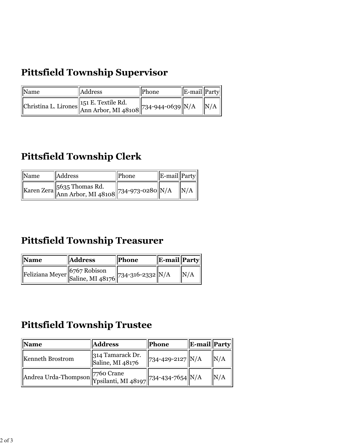# **Pittsfield Township Supervisor**

| Name | Address                                                                                                                                | Phone | $\ $ E-mail $\ $ Party |                 |
|------|----------------------------------------------------------------------------------------------------------------------------------------|-------|------------------------|-----------------|
|      | Christina L. Lirones $\begin{vmatrix} 151 \text{ E.} \text{Textile Rd.} \\ \text{Ann Arbor, MI } 48108 \end{vmatrix}$ 734-944-0639 N/A |       |                        | $\parallel N/A$ |

## **Pittsfield Township Clerk**

| Name | Address                                                                                                                        | Phone | E-mail Party |      |
|------|--------------------------------------------------------------------------------------------------------------------------------|-------|--------------|------|
|      | $\mathbf{K}$ aren Zera $\begin{bmatrix} 5635 \text{ Thomas Rd.} \\ \text{Ann Arbor, MI } 48108 \end{bmatrix}$ 734-973-0280 N/A |       |              | IN/A |

## **Pittsfield Township Treasurer**

| <b>Name</b> | <b>Address</b>                                  | Phone | E-mail Party |     |
|-------------|-------------------------------------------------|-------|--------------|-----|
|             | Feliziana Meyer 6767 Robison [734-316-2332] N/A |       |              | N/A |

#### **Pittsfield Township Trustee**

| Name                                                                                 | <b>Address</b>                       | Phone                        | E-mail  Party |     |
|--------------------------------------------------------------------------------------|--------------------------------------|------------------------------|---------------|-----|
| <b>Kenneth Brostrom</b>                                                              | 314 Tamarack Dr.<br>Saline, MI 48176 | 734-429-2127 N/A             |               | N/A |
| $\left \overline{\text{Andrea Urda-Thompson}}\right $ 7760 Crane Ypsilanti, MI 48197 |                                      | $\  734 - 434 - 7654 \  N/A$ |               | N/A |